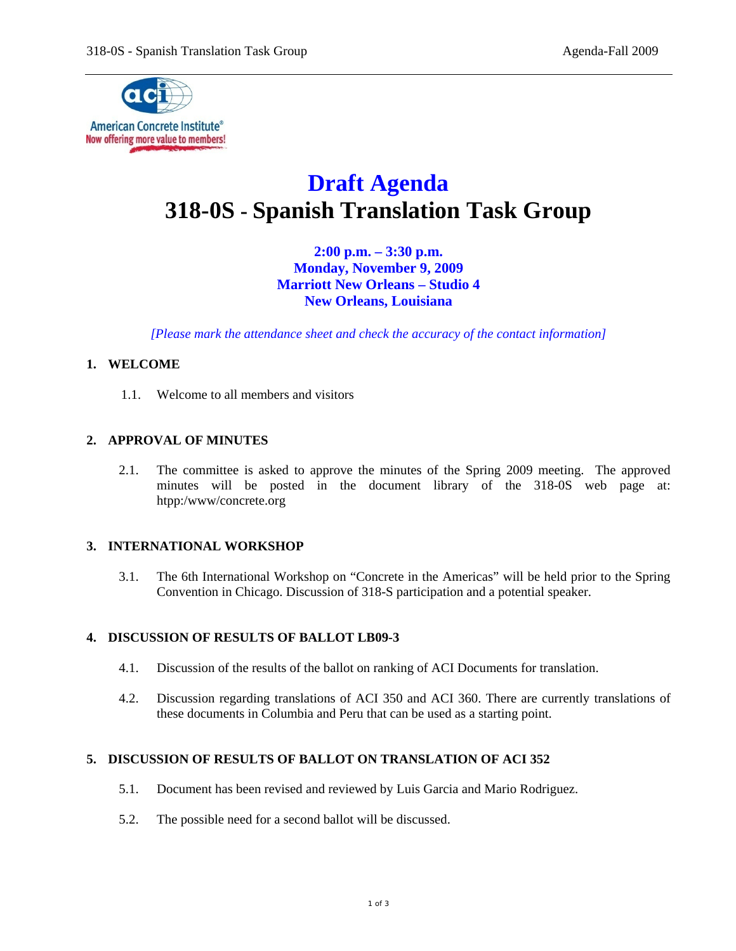

# **Draft Agenda 318-0S - Spanish Translation Task Group**

**2:00 p.m. – 3:30 p.m. Monday, November 9, 2009 Marriott New Orleans – Studio 4 New Orleans, Louisiana** 

*[Please mark the attendance sheet and check the accuracy of the contact information]* 

## **1. WELCOME**

1.1. Welcome to all members and visitors

#### **2. APPROVAL OF MINUTES**

2.1. The committee is asked to approve the minutes of the Spring 2009 meeting. The approved minutes will be posted in the document library of the 318-0S web page at: htpp:/www/concrete.org

## **3. INTERNATIONAL WORKSHOP**

3.1. The 6th International Workshop on "Concrete in the Americas" will be held prior to the Spring Convention in Chicago. Discussion of 318-S participation and a potential speaker.

## **4. DISCUSSION OF RESULTS OF BALLOT LB09-3**

- 4.1. Discussion of the results of the ballot on ranking of ACI Documents for translation.
- 4.2. Discussion regarding translations of ACI 350 and ACI 360. There are currently translations of these documents in Columbia and Peru that can be used as a starting point.

## **5. DISCUSSION OF RESULTS OF BALLOT ON TRANSLATION OF ACI 352**

- 5.1. Document has been revised and reviewed by Luis Garcia and Mario Rodriguez.
- 5.2. The possible need for a second ballot will be discussed.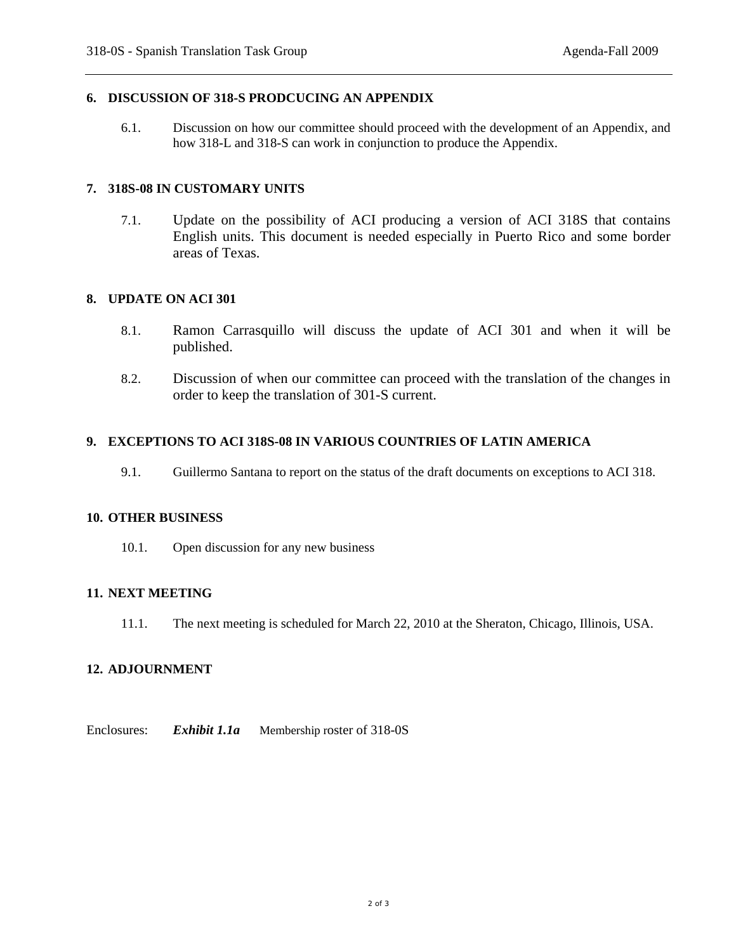## **6. DISCUSSION OF 318-S PRODCUCING AN APPENDIX**

6.1. Discussion on how our committee should proceed with the development of an Appendix, and how 318-L and 318-S can work in conjunction to produce the Appendix.

## **7. 318S-08 IN CUSTOMARY UNITS**

7.1. Update on the possibility of ACI producing a version of ACI 318S that contains English units. This document is needed especially in Puerto Rico and some border areas of Texas.

#### **8. UPDATE ON ACI 301**

- 8.1. Ramon Carrasquillo will discuss the update of ACI 301 and when it will be published.
- 8.2. Discussion of when our committee can proceed with the translation of the changes in order to keep the translation of 301-S current.

#### **9. EXCEPTIONS TO ACI 318S-08 IN VARIOUS COUNTRIES OF LATIN AMERICA**

9.1. Guillermo Santana to report on the status of the draft documents on exceptions to ACI 318.

#### **10. OTHER BUSINESS**

10.1. Open discussion for any new business

## **11. NEXT MEETING**

11.1. The next meeting is scheduled for March 22, 2010 at the Sheraton, Chicago, Illinois, USA.

## **12. ADJOURNMENT**

Enclosures: *Exhibit 1.1a* Membership roster of 318-0S